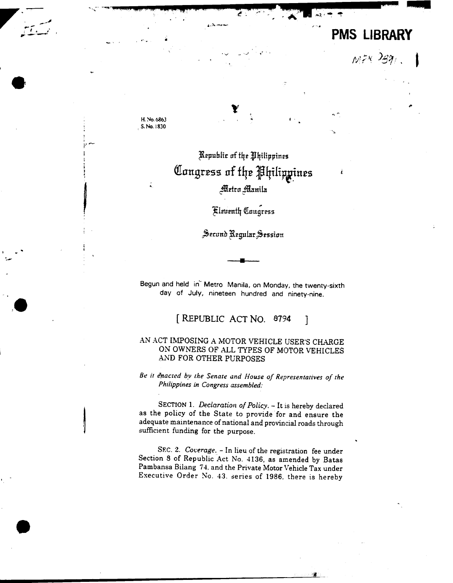# **PMS LIBRARY**

 $M^{zx}$   $291$ .

H. No. 6863 S. No. 1830

## Republic of the Philippines Congress of the Philippines Metro Manila

## **Eleventh Congress**

Second Regular Session

Begun and held in Metro Manila, on Monday, the twenty-sixth day of July, nineteen hundred and ninety-nine.

> [REPUBLIC ACT NO. 8794 1

### AN ACT IMPOSING A MOTOR VEHICLE USER'S CHARGE ON OWNERS OF ALL TYPES OF MOTOR VEHICLES AND FOR OTHER PURPOSES

Be it enacted by the Senate and House of Representatives of the Philippines in Congress assembled:

SECTION 1. Declaration of Policy. - It is hereby declared as the policy of the State to provide for and ensure the adequate maintenance of national and provincial roads through sufficient funding for the purpose.

SEC. 2. Coverage. - In lieu of the registration fee under Section 8 of Republic Act No. 4136, as amended by Batas Pambansa Bilang 74, and the Private Motor Vehicle Tax under Executive Order No. 43. series of 1986, there is hereby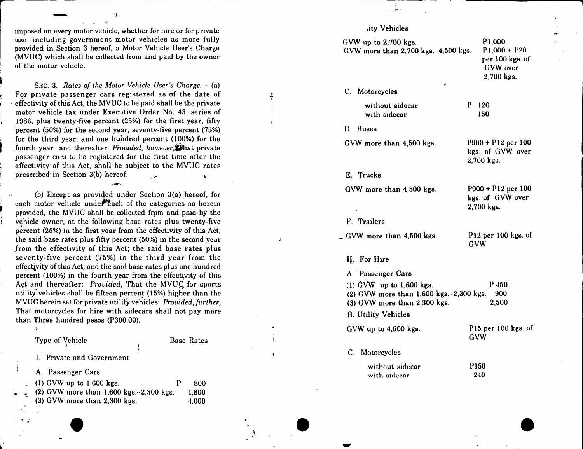imposed on every motor vehicle, whether for hire or for private use, including government motor vehicles as more fully provided in Section 3 hereof, a Motor Vehicle User's Charge (MVUC) which shall be collected from and paid by the owner of the motor vehicle.

SEC. 3. Rates of the Motor Vehicle User's Charge. - (a) For private passenger cars registered as of the date of effectivity of this Act, the MVUC to be paid shall be the private motor vehicle tax under Executive Order No. 43, series of 1986, plus twenty-five percent (25%) for the first year, fifty percent (50%) for the second year, seventy-five percent (75%) for the third year, and one hundred percent (100%) for the fourth year and thereafter: *Provided*, *however*, that private passenger cars to be registered for the first time after the effectivity of this Act, shall be subject to the MVUC rates prescribed in Section 3(b) hereof.

(b) Except as provided under Section 3(a) hereof, for each motor vehicle under each of the categories as herein provided, the MVUC shall be collected from and paid by the vehicle owner, at the following base rates plus twenty-five percent (25%) in the first year from the effectivity of this Act: the said base rates plus fifty percent (50%) in the second year from the effectivity of this Act; the said base rates plus seventy-five percent (75%) in the third year from the effectivity of this Act: and the said base rates plus one hundred percent (100%) in the fourth year from the effectivity of this Act and thereafter: Provided, That the MVUC for sports utility vehicles shall be fifteen percent (15%) higher than the MVUC herein set for private utility vehicles: Provided, further, That motorcycles for hire with sidecars shall not pay more than Three hundred pesos (P300.00).

Type of Vehicle

**Base Rates** 

I. Private and Government

A. Passenger Cars

| $(1)$ GVW up to 1,600 kgs.                   | p | 800   |
|----------------------------------------------|---|-------|
| (2) GVW more than $1,600$ kgs. $-2,300$ kgs. |   | 1.800 |
| (3) GVW more than 2,300 kgs.                 |   | 4.000 |

### .ity Vehicles

ωń.

| GVW up to $2,700$ kgs.<br>GVW more than $2,700$ kgs. $-4,500$ kgs.                                               | P <sub>1,000</sub><br>$P1,000 + P20$<br>per 100 kgs. of<br>GVW over<br>2,700 kgs. |
|------------------------------------------------------------------------------------------------------------------|-----------------------------------------------------------------------------------|
| C. Motorcycles                                                                                                   |                                                                                   |
| without sidecar<br>with sidecar                                                                                  | P.<br>120<br>150                                                                  |
| D. Buses                                                                                                         |                                                                                   |
| GVW more than 4,500 kgs.                                                                                         | P900 + P12 per 100<br>kgs. of GVW over<br>2,700 kgs.                              |
| E. Trucks                                                                                                        |                                                                                   |
| GVW more than 4,500 kgs.                                                                                         | P900 + P12 per 100<br>kgs. of GVW over<br>2,700 kgs.                              |
| F. Trailers                                                                                                      |                                                                                   |
| . GVW more than 4,500 kgs.                                                                                       | $P12$ per 100 kgs. of<br>GVW                                                      |
| II. For Hire                                                                                                     |                                                                                   |
| A. Passenger Cars                                                                                                |                                                                                   |
| (1) $\dot{G}VW$ up to 1,600 kgs.<br>$(2)$ GVW more than 1,600 kgs. $-2,300$ kgs.<br>(3) GVW more than 2,300 kgs. | $P$ 450<br>900<br>2,500                                                           |
| <b>B.</b> Utility Vehicles                                                                                       |                                                                                   |
| GVW up to 4,500 kgs.                                                                                             | P15 per 100 kgs. of<br>GVW                                                        |
| C. Motorcycles                                                                                                   |                                                                                   |
| without sidecar<br>with sidecar                                                                                  | P <sub>150</sub><br>240                                                           |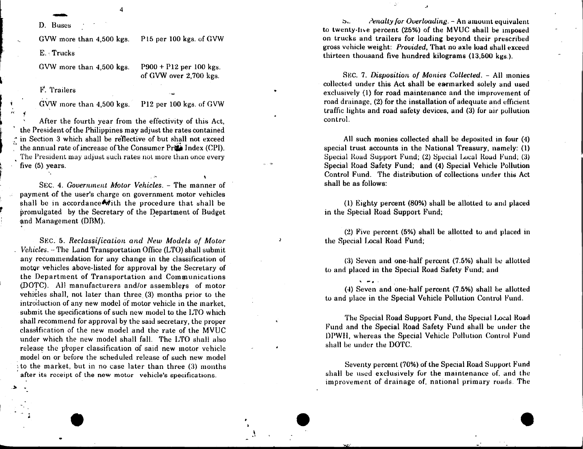D. Buses

P15 per 100 kgs. of GVW GVW more than 4.500 kgs.

E. Trucks

 $P900 + P12$  per 100 kgs. GVW more than 4.500 kgs. of GVW over 2,700 kgs.

F. Trailers

GVW more than 4,500 kgs.

P12 per 100 kgs. of GVW

After the fourth year from the effectivity of this Act. the President of the Philippines may adjust the rates contained in Section 3 which shall be reflective of but shall not exceed the annual rate of increase of the Consumer Price Index (CPI). The President may adjust such rates not more than once every five (5) years.

SEC. 4. Government Motor Vehicles. - The manner of payment of the user's charge on government motor vehicles shall be in accordance with the procedure that shall be promulgated by the Secretary of the Department of Budget and Management (DBM).

SEC. 5. Reclassification and New Models of Motor Vehicles. - The Land Transportation Office (LTO) shall submit any recommendation for any change in the classification of motor vehicles above-listed for approval by the Secretary of the Department of Transportation and Communications (DOTC). All manufacturers and/or assemblers of motor vehicles shall, not later than three (3) months prior to the introduction of any new model of motor vehicle in the market. submit the specifications of such new model to the LTO which shall recommend for approval by the said secretary, the proper classification of the new model and the rate of the MVUC under which the new model shall fall. The LTO shall also release the proper classification of said new motor vehicle model on or before the scheduled release of such new model to the market, but in no case later than three (3) months after its receipt of the new motor vehicle's specifications.

Penalty for Overloading. - An amount equivalent  $S<sub>1</sub>$ to twenty-five percent (25%) of the MVUC shall be imposed on trucks and trailers for loading beyond their prescribed gross vehicle weight: *Provided*, That no axle load shall exceed thirteen thousand five hundred kilograms (13,500 kgs.).

SEC. 7. Disposition of Monies Collected. - All monies collected under this Act shall be earmarked solely and used exclusively (1) for road maintenance and the improvement of road drainage, (2) for the installation of adequate and efficient traffic lights and road safety devices, and (3) for air pollution control.

All such monies collected shall be deposited in four (4) special trust accounts in the National Treasury, namely: (1) Special Road Support Fund; (2) Special Local Road Fund; (3) Special Road Safety Fund; and (4) Special Vehicle Pollution Control Fund. The distribution of collections under this Act shall be as follows:

(1) Eighty percent (80%) shall be allotted to and placed in the Special Road Support Fund;

(2) Five percent (5%) shall be allotted to and placed in the Special Local Road Fund:

(3) Seven and one-half percent (7.5%) shall be allotted to and placed in the Special Road Safety Fund; and

(4) Seven and one-half percent (7.5%) shall be allotted to and place in the Special Vehicle Pollution Control Fund.

The Special Road Support Fund, the Special Local Road Fund and the Special Road Safety Fund shall be under the DPWH, whereas the Special Vehicle Pollution Control Fund shall be under the DOTC.

Seventy percent (70%) of the Special Road Support Fund shall be used exclusively for the maintenance of, and the improvement of drainage of, national primary roads. The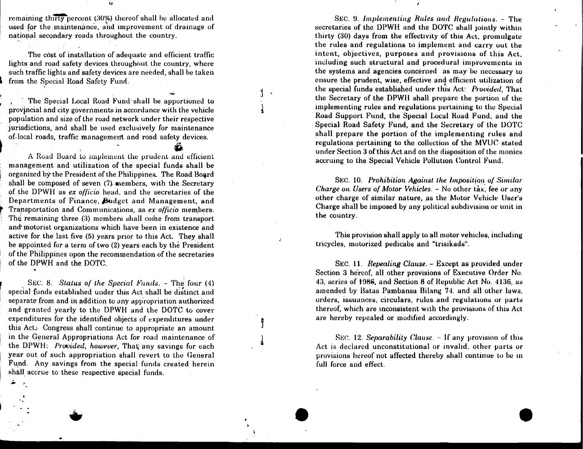remaining thirty percent (30%) thereof shall be allocated and used for the maintenance, and improvement of drainage of national secondary roads throughout the country.

 $\dot{\mathbf{u}}$ 

The cost of installation of adequate and efficient traffic lights and road safety devices throughout the country, where such traffic lights and safety devices are needed, shall be taken from the Special Road Safety Fund.

The Special Local Road Fund shall be apportioned to provincial and city governments in accordance with the vehicle population and size of the road network under their respective jurisdictions, and shall be used exclusively for maintenance of-local roads, traffic management and road safety devices.

A Road Board to implement the prudent and efficient management and utilization of the special funds shall be organized by the President of the Philippines. The Road Board shall be composed of seven (7) members, with the Secretary of the DPWH as ex officio head, and the secretaries of the Departments of Finance, Budget and Management, and Transportation and Communications, as ex officio members. The remaining three (3) members shall come from transport and motorist organizations which have been in existence and active for the last five (5) years prior to this Act. They shall be appointed for a term of two (2) years each by the President of the Philippines upon the recommendation of the secretaries of the DPWH and the DOTC.

SEC. 8. Status of the Special Funds. - The four (4) special funds established under this Act shall be distinct and separate from and in addition to any appropriation authorized and granted yearly to the DPWH and the DOTC to cover expenditures for the identified objects of expenditures under this Act. Congress shall continue to appropriate an amount in the General Appropriations Act for road maintenance of the DPWH: Provided, however, That any savings for each year out of such appropriation shall revert to the General Fund. Any savings from the special funds created herein shall accrue to these respective special funds.

 $\mathbf{L} = \mathbf{r}$ 

SEC. 9. Implementing Rules and Regulations. - The secretaries of the DPWH and the DOTC shall jointly within thirty (30) days from the effectivity of this Act, promulgate the rules and regulations to implement and carry out the intent, objectives, purposes and provisions of this Act, including such structural and procedural improvements in the systems and agencies concerned as may be necessary to ensure the prudent, wise, effective and efficient utilization of the special funds established under this Act: Provided, That the Secretary of the DPWH shall prepare the portion of the implementing rules and regulations pertaining to the Special Road Support Fund, the Special Local Road Fund, and the Special Road Safety Fund, and the Secretary of the DOTC shall prepare the portion of the implementing rules and regulations pertaining to the collection of the MVUC stated under Section 3 of this Act and on the disposition of the monies accruing to the Special Vehicle Pollution Control Fund.

SEC. 10. Prohibition Against the Imposition of Similar *Charge on Users of Motor Vehicles.* – No other tax, fee or any other charge of similar nature, as the Motor Vehicle User's Charge shall be imposed by any political subdivision or unit in the country.

This provision shall apply to all motor vehicles, including tricycles, motorized pedicabs and "trisikads".

SEC. 11. Repealing Clause. - Except as provided under Section 3 hereof, all other provisions of Executive Order No. 43, series of 1986, and Section 8 of Republic Act No. 4136, as amended by Batas Pambansa Bilang 74, and all other laws, orders, issuances, circulars, rules and regulations or parts thereof, which are inconsistent with the provisions of this Act are hereby repealed or modified accordingly.

SEC. 12. Separability Clause.  $-$  If any provision of this Act is declared unconstitutional or invalid, other parts or provisions hereof not affected thereby shall continue to be in full force and effect.